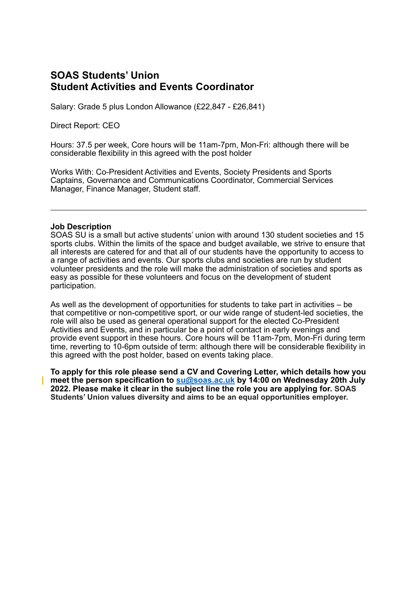# **SOAS Students' Union Student Activities and Events Coordinator**

Salary: Grade 5 plus London Allowance (£22,847 - £26,841)

Direct Report: CEO

Hours: 37.5 per week, Core hours will be 11am-7pm, Mon-Fri: although there will be considerable flexibility in this agreed with the post holder

Works With: Co-President Activities and Events, Society Presidents and Sports Captains, Governance and Communications Coordinator, Commercial Services Manager, Finance Manager, Student staff.

#### **Job Description**

SOAS SU is a small but active students' union with around 130 student societies and 15 sports clubs. Within the limits of the space and budget available, we strive to ensure that all interests are catered for and that all of our students have the opportunity to access to a range of activities and events. Our sports clubs and societies are run by student volunteer presidents and the role will make the administration of societies and sports as easy as possible for these volunteers and focus on the development of student participation.

As well as the development of opportunities for students to take part in activities – be that competitive or non-competitive sport, or our wide range of student-led societies, the role will also be used as general operational support for the elected Co-President Activities and Events, and in particular be a point of contact in early evenings and provide event support in these hours. Core hours will be 11am-7pm, Mon-Fri during term time, reverting to 10-6pm outside of term: although there will be considerable flexibility in this agreed with the post holder, based on events taking place.

**To apply for this role please send a CV and Covering Letter, which details how you meet the person specification to [su@soas.ac.uk](mailto:su@soas.ac.uk) by 14:00 on Wednesday 20th July 2022. Please make it clear in the subject line the role you are applying for. SOAS Students' Union values diversity and aims to be an equal opportunities employer.**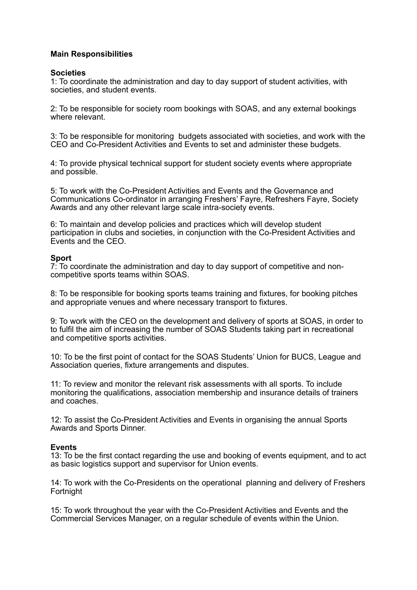# **Main Responsibilities**

#### **Societies**

1: To coordinate the administration and day to day support of student activities, with societies, and student events.

2: To be responsible for society room bookings with SOAS, and any external bookings where relevant.

3: To be responsible for monitoring budgets associated with societies, and work with the CEO and Co-President Activities and Events to set and administer these budgets.

4: To provide physical technical support for student society events where appropriate and possible.

5: To work with the Co-President Activities and Events and the Governance and Communications Co-ordinator in arranging Freshers' Fayre, Refreshers Fayre, Society Awards and any other relevant large scale intra-society events.

6: To maintain and develop policies and practices which will develop student participation in clubs and societies, in conjunction with the Co-President Activities and Events and the CEO.

#### **Sport**

7: To coordinate the administration and day to day support of competitive and noncompetitive sports teams within SOAS.

8: To be responsible for booking sports teams training and fixtures, for booking pitches and appropriate venues and where necessary transport to fixtures.

9: To work with the CEO on the development and delivery of sports at SOAS, in order to to fulfil the aim of increasing the number of SOAS Students taking part in recreational and competitive sports activities.

10: To be the first point of contact for the SOAS Students' Union for BUCS, League and Association queries, fixture arrangements and disputes.

11: To review and monitor the relevant risk assessments with all sports. To include monitoring the qualifications, association membership and insurance details of trainers and coaches.

12: To assist the Co-President Activities and Events in organising the annual Sports Awards and Sports Dinner.

## **Events**

13: To be the first contact regarding the use and booking of events equipment, and to act as basic logistics support and supervisor for Union events.

14: To work with the Co-Presidents on the operational planning and delivery of Freshers Fortnight

15: To work throughout the year with the Co-President Activities and Events and the Commercial Services Manager, on a regular schedule of events within the Union.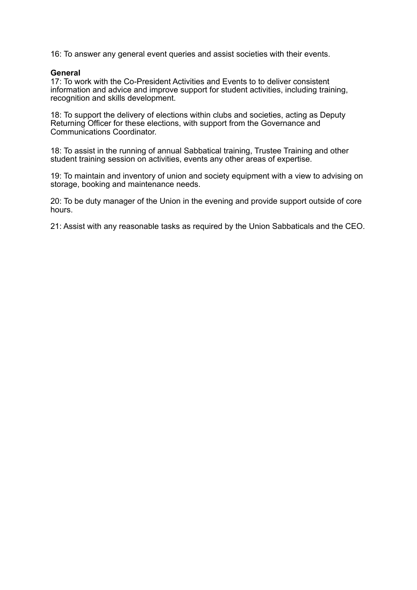16: To answer any general event queries and assist societies with their events.

#### **General**

17: To work with the Co-President Activities and Events to to deliver consistent information and advice and improve support for student activities, including training, recognition and skills development.

18: To support the delivery of elections within clubs and societies, acting as Deputy Returning Officer for these elections, with support from the Governance and Communications Coordinator.

18: To assist in the running of annual Sabbatical training, Trustee Training and other student training session on activities, events any other areas of expertise.

19: To maintain and inventory of union and society equipment with a view to advising on storage, booking and maintenance needs.

20: To be duty manager of the Union in the evening and provide support outside of core hours.

21: Assist with any reasonable tasks as required by the Union Sabbaticals and the CEO.